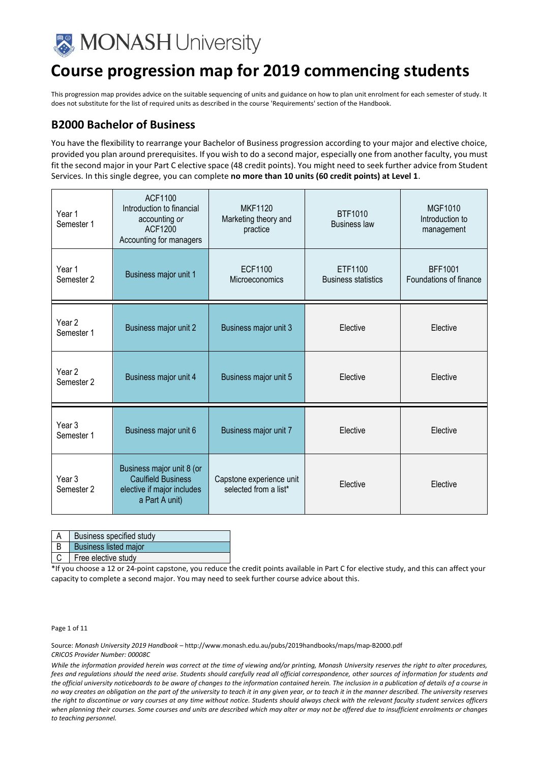

This progression map provides advice on the suitable sequencing of units and guidance on how to plan unit enrolment for each semester of study. It does not substitute for the list of required units as described in the course 'Requirements' section of the Handbook.

## **B2000 Bachelor of Business**

You have the flexibility to rearrange your Bachelor of Business progression according to your major and elective choice, provided you plan around prerequisites. If you wish to do a second major, especially one from another faculty, you must fit the second major in your Part C elective space (48 credit points). You might need to seek further advice from Student Services. In this single degree, you can complete **no more than 10 units (60 credit points) at Level 1**.

| Year 1<br>Semester 1            | ACF1100<br>Introduction to financial<br>accounting or<br><b>ACF1200</b><br>Accounting for managers     | <b>MKF1120</b><br>Marketing theory and<br>practice | <b>BTF1010</b><br><b>Business law</b> | <b>MGF1010</b><br>Introduction to<br>management |
|---------------------------------|--------------------------------------------------------------------------------------------------------|----------------------------------------------------|---------------------------------------|-------------------------------------------------|
| Year 1<br>Semester 2            | Business major unit 1                                                                                  | <b>ECF1100</b><br>Microeconomics                   | ETF1100<br><b>Business statistics</b> | <b>BFF1001</b><br>Foundations of finance        |
| Year <sub>2</sub><br>Semester 1 | Business major unit 2                                                                                  | Business major unit 3                              | Elective                              | Elective                                        |
| Year <sub>2</sub><br>Semester 2 | Business major unit 4                                                                                  | Business major unit 5                              | Elective                              | Elective                                        |
| Year 3<br>Semester 1            | Business major unit 6                                                                                  | Business major unit 7                              | Elective                              | Elective                                        |
| Year <sub>3</sub><br>Semester 2 | Business major unit 8 (or<br><b>Caulfield Business</b><br>elective if major includes<br>a Part A unit) | Capstone experience unit<br>selected from a list*  | Elective                              | Elective                                        |

A | Business specified study

B Business listed major

C | Free elective study

\*If you choose a 12 or 24-point capstone, you reduce the credit points available in Part C for elective study, and this can affect your capacity to complete a second major. You may need to seek further course advice about this.

Page 1 of 11

Source: *Monash University 2019 Handbook –* http://www.monash.edu.au/pubs/2019handbooks/maps/map-B2000.pdf *CRICOS Provider Number: 00008C*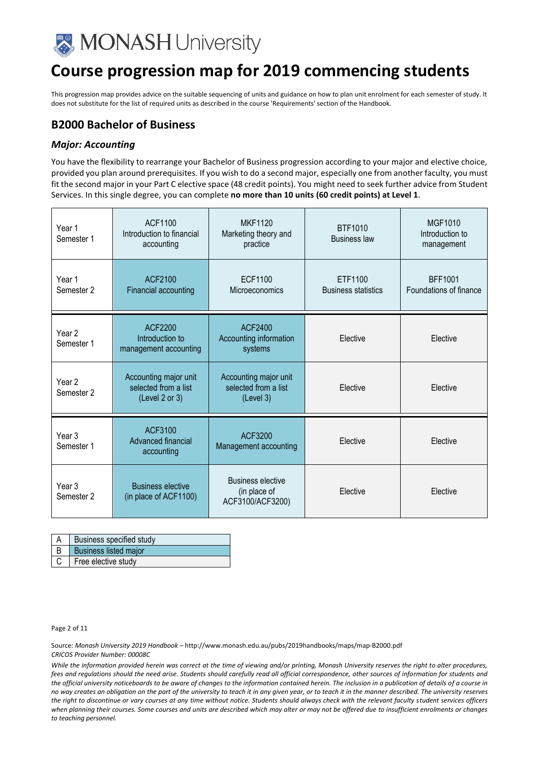

This progression map provides advice on the suitable sequencing of units and guidance on how to plan unit enrolment for each semester of study. It does not substitute for the list of required units as described in the course 'Requirements' section of the Handbook.

## **B2000 Bachelor of Business**

#### *Major: Accounting*

You have the flexibility to rearrange your Bachelor of Business progression according to your major and elective choice, provided you plan around prerequisites. If you wish to do a second major, especially one from another faculty, you must fit the second major in your Part C elective space (48 credit points). You might need to seek further advice from Student Services. In this single degree, you can complete **no more than 10 units (60 credit points) at Level 1**.

| Year 1<br>Semester 1            | ACF1100<br>Introduction to financial<br>accounting              | <b>MKF1120</b><br>Marketing theory and<br>practice           | <b>BTF1010</b><br><b>Business law</b> | <b>MGF1010</b><br>Introduction to<br>management |
|---------------------------------|-----------------------------------------------------------------|--------------------------------------------------------------|---------------------------------------|-------------------------------------------------|
| Year 1<br>Semester 2            | <b>ACF2100</b><br><b>Financial accounting</b>                   | <b>ECF1100</b><br>Microeconomics                             | ETF1100<br><b>Business statistics</b> | <b>BFF1001</b><br>Foundations of finance        |
| Year 2<br>Semester 1            | <b>ACF2200</b><br>Introduction to<br>management accounting      | ACF2400<br>Accounting information<br>systems                 | Elective                              | Elective                                        |
| Year 2<br>Semester 2            | Accounting major unit<br>selected from a list<br>(Level 2 or 3) | Accounting major unit<br>selected from a list<br>(Level 3)   | Elective                              | Elective                                        |
| Year <sub>3</sub><br>Semester 1 | <b>ACF3100</b><br>Advanced financial<br>accounting              | ACF3200<br>Management accounting                             | Elective                              | Elective                                        |
| Year <sub>3</sub><br>Semester 2 | <b>Business elective</b><br>(in place of ACF1100)               | <b>Business elective</b><br>(in place of<br>ACF3100/ACF3200) | Elective                              | Elective                                        |

| <b>Business specified study</b>       |
|---------------------------------------|
| B   Business listed major             |
| $\vert$ C $\vert$ Free elective study |

Page 2 of 11

Source: *Monash University 2019 Handbook –* http://www.monash.edu.au/pubs/2019handbooks/maps/map-B2000.pdf *CRICOS Provider Number: 00008C*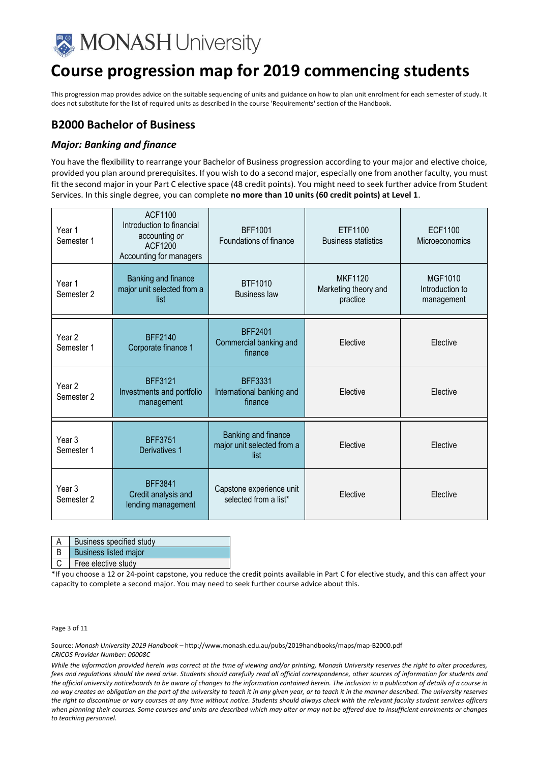

This progression map provides advice on the suitable sequencing of units and guidance on how to plan unit enrolment for each semester of study. It does not substitute for the list of required units as described in the course 'Requirements' section of the Handbook.

## **B2000 Bachelor of Business**

#### *Major: Banking and finance*

You have the flexibility to rearrange your Bachelor of Business progression according to your major and elective choice, provided you plan around prerequisites. If you wish to do a second major, especially one from another faculty, you must fit the second major in your Part C elective space (48 credit points). You might need to seek further advice from Student Services. In this single degree, you can complete **no more than 10 units (60 credit points) at Level 1**.

| Year 1<br>Semester 1            | ACF1100<br>Introduction to financial<br>accounting or<br><b>ACF1200</b><br>Accounting for managers | <b>BFF1001</b><br>Foundations of finance                  | ETF1100<br><b>Business statistics</b>              | <b>ECF1100</b><br>Microeconomics                |
|---------------------------------|----------------------------------------------------------------------------------------------------|-----------------------------------------------------------|----------------------------------------------------|-------------------------------------------------|
| Year 1<br>Semester 2            | Banking and finance<br>major unit selected from a<br>list                                          | <b>BTF1010</b><br><b>Business law</b>                     | <b>MKF1120</b><br>Marketing theory and<br>practice | <b>MGF1010</b><br>Introduction to<br>management |
| Year <sub>2</sub><br>Semester 1 | <b>BFF2140</b><br>Corporate finance 1                                                              | <b>BFF2401</b><br>Commercial banking and<br>finance       | Elective                                           | Elective                                        |
| Year 2<br>Semester 2            | <b>BFF3121</b><br>Investments and portfolio<br>management                                          | <b>BFF3331</b><br>International banking and<br>finance    | Elective                                           | Elective                                        |
| Year <sub>3</sub><br>Semester 1 | <b>BFF3751</b><br>Derivatives 1                                                                    | Banking and finance<br>major unit selected from a<br>list | Elective                                           | Elective                                        |
| Year <sub>3</sub><br>Semester 2 | <b>BFF3841</b><br>Credit analysis and<br>lending management                                        | Capstone experience unit<br>selected from a list*         | Elective                                           | Elective                                        |

| <b>Business specified study</b> |
|---------------------------------|
|                                 |

## Business listed major

C Free elective study

\*If you choose a 12 or 24-point capstone, you reduce the credit points available in Part C for elective study, and this can affect your capacity to complete a second major. You may need to seek further course advice about this.

Page 3 of 11

Source: *Monash University 2019 Handbook –* http://www.monash.edu.au/pubs/2019handbooks/maps/map-B2000.pdf *CRICOS Provider Number: 00008C*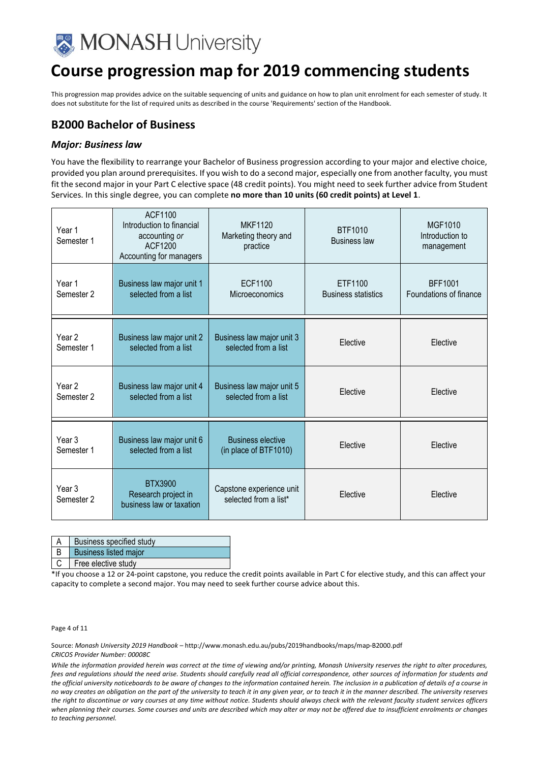

This progression map provides advice on the suitable sequencing of units and guidance on how to plan unit enrolment for each semester of study. It does not substitute for the list of required units as described in the course 'Requirements' section of the Handbook.

## **B2000 Bachelor of Business**

#### *Major: Business law*

You have the flexibility to rearrange your Bachelor of Business progression according to your major and elective choice, provided you plan around prerequisites. If you wish to do a second major, especially one from another faculty, you must fit the second major in your Part C elective space (48 credit points). You might need to seek further advice from Student Services. In this single degree, you can complete **no more than 10 units (60 credit points) at Level 1**.

| Year 1<br>Semester 1            | ACF1100<br>Introduction to financial<br>accounting or<br>ACF1200<br>Accounting for managers | <b>MKF1120</b><br>Marketing theory and<br>practice | BTF1010<br><b>Business law</b>        | MGF1010<br>Introduction to<br>management |
|---------------------------------|---------------------------------------------------------------------------------------------|----------------------------------------------------|---------------------------------------|------------------------------------------|
| Year 1<br>Semester 2            | Business law major unit 1<br>selected from a list                                           | <b>ECF1100</b><br>Microeconomics                   | ETF1100<br><b>Business statistics</b> | <b>BFF1001</b><br>Foundations of finance |
| Year 2<br>Semester 1            | Business law major unit 2<br>selected from a list                                           | Business law major unit 3<br>selected from a list  | Elective                              | Elective                                 |
| Year 2<br>Semester 2            | Business law major unit 4<br>selected from a list                                           | Business law major unit 5<br>selected from a list  | Elective                              | Elective                                 |
| Year 3<br>Semester 1            | Business law major unit 6<br>selected from a list                                           | <b>Business elective</b><br>(in place of BTF1010)  | Elective                              | Elective                                 |
| Year <sub>3</sub><br>Semester 2 | <b>BTX3900</b><br>Research project in<br>business law or taxation                           | Capstone experience unit<br>selected from a list*  | Elective                              | Elective                                 |

| A   Business specified study |
|------------------------------|
|                              |

## Business listed major

C Free elective study

\*If you choose a 12 or 24-point capstone, you reduce the credit points available in Part C for elective study, and this can affect your capacity to complete a second major. You may need to seek further course advice about this.

Page 4 of 11

Source: *Monash University 2019 Handbook –* http://www.monash.edu.au/pubs/2019handbooks/maps/map-B2000.pdf *CRICOS Provider Number: 00008C*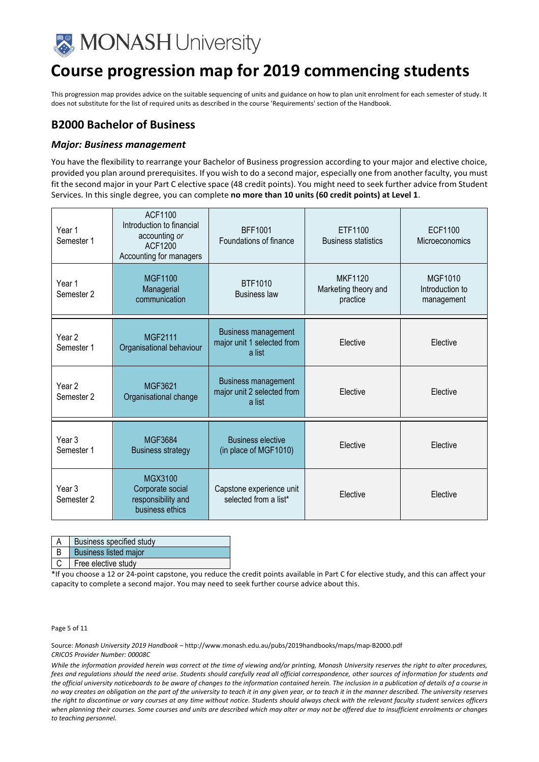

This progression map provides advice on the suitable sequencing of units and guidance on how to plan unit enrolment for each semester of study. It does not substitute for the list of required units as described in the course 'Requirements' section of the Handbook.

## **B2000 Bachelor of Business**

#### *Major: Business management*

You have the flexibility to rearrange your Bachelor of Business progression according to your major and elective choice, provided you plan around prerequisites. If you wish to do a second major, especially one from another faculty, you must fit the second major in your Part C elective space (48 credit points). You might need to seek further advice from Student Services. In this single degree, you can complete **no more than 10 units (60 credit points) at Level 1**.

| Year 1<br>Semester 1            | ACF1100<br>Introduction to financial<br>accounting or<br>ACF1200<br>Accounting for managers | <b>BFF1001</b><br>Foundations of finance                           | ETF1100<br><b>Business statistics</b>              | <b>ECF1100</b><br>Microeconomics                |
|---------------------------------|---------------------------------------------------------------------------------------------|--------------------------------------------------------------------|----------------------------------------------------|-------------------------------------------------|
| Year 1<br>Semester 2            | <b>MGF1100</b><br>Managerial<br>communication                                               | <b>BTF1010</b><br><b>Business law</b>                              | <b>MKF1120</b><br>Marketing theory and<br>practice | <b>MGF1010</b><br>Introduction to<br>management |
| Year <sub>2</sub><br>Semester 1 | <b>MGF2111</b><br>Organisational behaviour                                                  | <b>Business management</b><br>major unit 1 selected from<br>a list | Elective                                           | Elective                                        |
| Year 2<br>Semester 2            | MGF3621<br>Organisational change                                                            | <b>Business management</b><br>major unit 2 selected from<br>a list | Elective                                           | Elective                                        |
| Year 3<br>Semester 1            | <b>MGF3684</b><br><b>Business strategy</b>                                                  | <b>Business elective</b><br>(in place of MGF1010)                  | Elective                                           | Elective                                        |
| Year 3<br>Semester 2            | MGX3100<br>Corporate social<br>responsibility and<br>business ethics                        | Capstone experience unit<br>selected from a list*                  | Elective                                           | Elective                                        |

| Business specified study     |
|------------------------------|
| <b>Business listed major</b> |

C Free elective study

\*If you choose a 12 or 24-point capstone, you reduce the credit points available in Part C for elective study, and this can affect your capacity to complete a second major. You may need to seek further course advice about this.

Page 5 of 11

Source: *Monash University 2019 Handbook –* http://www.monash.edu.au/pubs/2019handbooks/maps/map-B2000.pdf *CRICOS Provider Number: 00008C*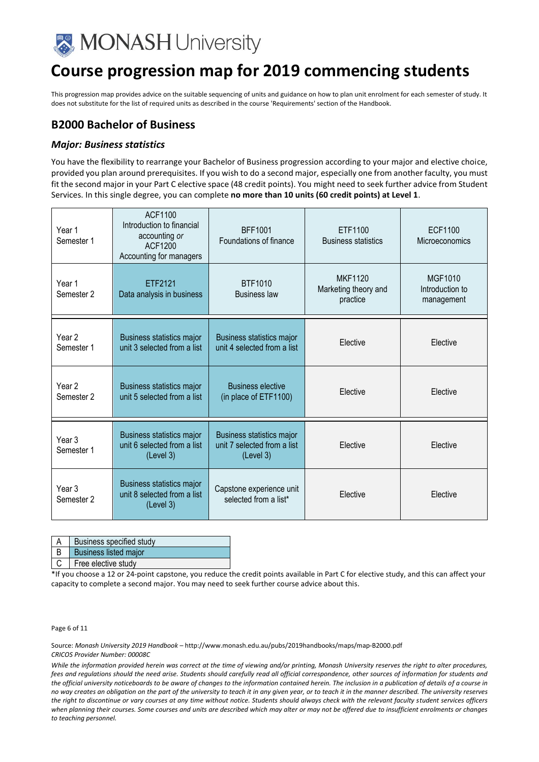

This progression map provides advice on the suitable sequencing of units and guidance on how to plan unit enrolment for each semester of study. It does not substitute for the list of required units as described in the course 'Requirements' section of the Handbook.

## **B2000 Bachelor of Business**

#### *Major: Business statistics*

You have the flexibility to rearrange your Bachelor of Business progression according to your major and elective choice, provided you plan around prerequisites. If you wish to do a second major, especially one from another faculty, you must fit the second major in your Part C elective space (48 credit points). You might need to seek further advice from Student Services. In this single degree, you can complete **no more than 10 units (60 credit points) at Level 1**.

| Year 1<br>Semester 1            | <b>ACF1100</b><br>Introduction to financial<br>accounting or<br>ACF1200<br>Accounting for managers | BFF1001<br>Foundations of finance                                     | ETF1100<br><b>Business statistics</b>              | ECF1100<br>Microeconomics                       |
|---------------------------------|----------------------------------------------------------------------------------------------------|-----------------------------------------------------------------------|----------------------------------------------------|-------------------------------------------------|
| Year 1<br>Semester 2            | ETF2121<br>Data analysis in business                                                               | BTF1010<br><b>Business law</b>                                        | <b>MKF1120</b><br>Marketing theory and<br>practice | <b>MGF1010</b><br>Introduction to<br>management |
| Year <sub>2</sub><br>Semester 1 | Business statistics major<br>unit 3 selected from a list                                           | Business statistics major<br>unit 4 selected from a list              | Elective                                           | Elective                                        |
| Year 2<br>Semester 2            | Business statistics major<br>unit 5 selected from a list                                           | <b>Business elective</b><br>(in place of ETF1100)                     | Elective                                           | Elective                                        |
| Year 3<br>Semester 1            | <b>Business statistics major</b><br>unit 6 selected from a list<br>(Level 3)                       | Business statistics major<br>unit 7 selected from a list<br>(Level 3) | Elective                                           | Elective                                        |
| Year 3<br>Semester 2            | Business statistics major<br>unit 8 selected from a list<br>(Level 3)                              | Capstone experience unit<br>selected from a list*                     | Elective                                           | Elective                                        |

| Business specified study |
|--------------------------|
| B Business listed major  |

C Free elective study

\*If you choose a 12 or 24-point capstone, you reduce the credit points available in Part C for elective study, and this can affect your capacity to complete a second major. You may need to seek further course advice about this.

Page 6 of 11

Source: *Monash University 2019 Handbook –* http://www.monash.edu.au/pubs/2019handbooks/maps/map-B2000.pdf *CRICOS Provider Number: 00008C*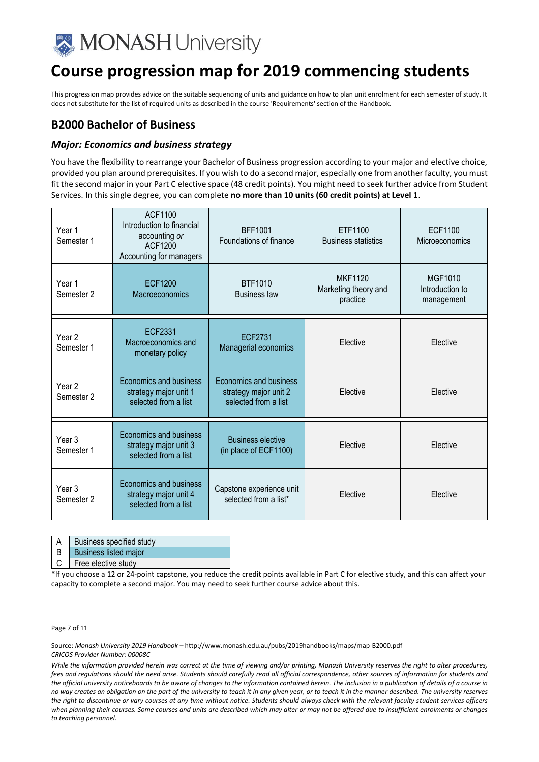

This progression map provides advice on the suitable sequencing of units and guidance on how to plan unit enrolment for each semester of study. It does not substitute for the list of required units as described in the course 'Requirements' section of the Handbook.

## **B2000 Bachelor of Business**

#### *Major: Economics and business strategy*

You have the flexibility to rearrange your Bachelor of Business progression according to your major and elective choice, provided you plan around prerequisites. If you wish to do a second major, especially one from another faculty, you must fit the second major in your Part C elective space (48 credit points). You might need to seek further advice from Student Services. In this single degree, you can complete **no more than 10 units (60 credit points) at Level 1**.

| Year 1<br>Semester 1 | <b>ACF1100</b><br>Introduction to financial<br>accounting or<br>ACF1200<br>Accounting for managers | <b>BFF1001</b><br>Foundations of finance                                       | ETF1100<br><b>Business statistics</b>              | ECF1100<br>Microeconomics                |
|----------------------|----------------------------------------------------------------------------------------------------|--------------------------------------------------------------------------------|----------------------------------------------------|------------------------------------------|
| Year 1<br>Semester 2 | <b>ECF1200</b><br>Macroeconomics                                                                   | <b>BTF1010</b><br><b>Business law</b>                                          | <b>MKF1120</b><br>Marketing theory and<br>practice | MGF1010<br>Introduction to<br>management |
| Year 2<br>Semester 1 | <b>ECF2331</b><br>Macroeconomics and<br>monetary policy                                            | <b>ECF2731</b><br>Managerial economics                                         | Elective                                           | Elective                                 |
| Year 2<br>Semester 2 | Economics and business<br>strategy major unit 1<br>selected from a list                            | <b>Economics and business</b><br>strategy major unit 2<br>selected from a list | Elective                                           | Elective                                 |
| Year 3<br>Semester 1 | <b>Economics and business</b><br>strategy major unit 3<br>selected from a list                     | <b>Business elective</b><br>(in place of ECF1100)                              | Elective                                           | Elective                                 |
| Year 3<br>Semester 2 | <b>Economics and business</b><br>strategy major unit 4<br>selected from a list                     | Capstone experience unit<br>selected from a list*                              | Elective                                           | Elective                                 |

| A   Business specified study             |
|------------------------------------------|
| <b>In the community of the community</b> |

### Business listed major

C Free elective study

\*If you choose a 12 or 24-point capstone, you reduce the credit points available in Part C for elective study, and this can affect your capacity to complete a second major. You may need to seek further course advice about this.

Page 7 of 11

Source: *Monash University 2019 Handbook –* http://www.monash.edu.au/pubs/2019handbooks/maps/map-B2000.pdf *CRICOS Provider Number: 00008C*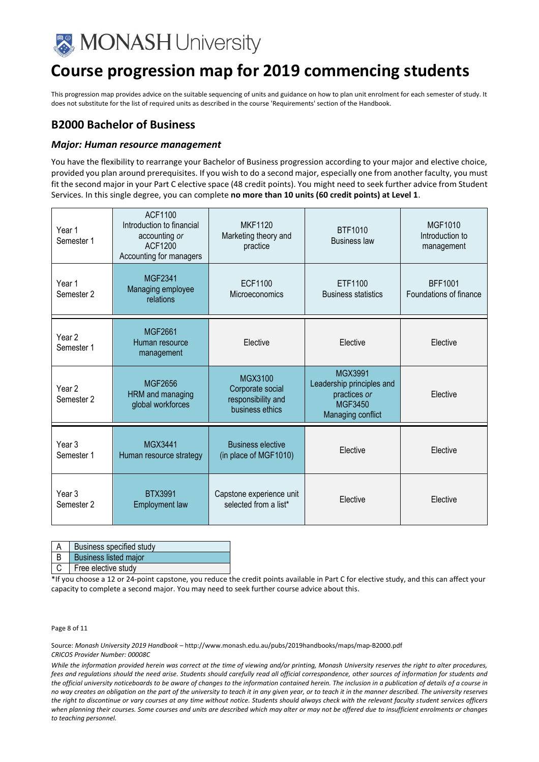

This progression map provides advice on the suitable sequencing of units and guidance on how to plan unit enrolment for each semester of study. It does not substitute for the list of required units as described in the course 'Requirements' section of the Handbook.

## **B2000 Bachelor of Business**

#### *Major: Human resource management*

You have the flexibility to rearrange your Bachelor of Business progression according to your major and elective choice, provided you plan around prerequisites. If you wish to do a second major, especially one from another faculty, you must fit the second major in your Part C elective space (48 credit points). You might need to seek further advice from Student Services. In this single degree, you can complete **no more than 10 units (60 credit points) at Level 1**.

| Year 1<br>Semester 1            | ACF1100<br>Introduction to financial<br>accounting or<br>ACF1200<br>Accounting for managers | <b>MKF1120</b><br>Marketing theory and<br>practice                   | <b>BTF1010</b><br><b>Business law</b>                                                       | <b>MGF1010</b><br>Introduction to<br>management |
|---------------------------------|---------------------------------------------------------------------------------------------|----------------------------------------------------------------------|---------------------------------------------------------------------------------------------|-------------------------------------------------|
| Year 1<br>Semester 2            | <b>MGF2341</b><br>Managing employee<br>relations                                            | <b>ECF1100</b><br>Microeconomics                                     | ETF1100<br><b>Business statistics</b>                                                       | <b>BFF1001</b><br>Foundations of finance        |
| Year 2<br>Semester 1            | <b>MGF2661</b><br>Human resource<br>management                                              | Elective                                                             | Elective                                                                                    | Elective                                        |
| Year 2<br>Semester 2            | <b>MGF2656</b><br>HRM and managing<br>global workforces                                     | MGX3100<br>Corporate social<br>responsibility and<br>business ethics | <b>MGX3991</b><br>Leadership principles and<br>practices or<br>MGF3450<br>Managing conflict | Elective                                        |
| Year <sub>3</sub><br>Semester 1 | <b>MGX3441</b><br>Human resource strategy                                                   | <b>Business elective</b><br>(in place of MGF1010)                    | Elective                                                                                    | Elective                                        |
| Year 3<br>Semester 2            | <b>BTX3991</b><br><b>Employment law</b>                                                     | Capstone experience unit<br>selected from a list*                    | Elective                                                                                    | Elective                                        |

| <b>Business specified study</b> |
|---------------------------------|
| <b>Business listed major</b>    |
| Free elective study             |

\*If you choose a 12 or 24-point capstone, you reduce the credit points available in Part C for elective study, and this can affect your capacity to complete a second major. You may need to seek further course advice about this.

Page 8 of 11

Source: *Monash University 2019 Handbook –* http://www.monash.edu.au/pubs/2019handbooks/maps/map-B2000.pdf *CRICOS Provider Number: 00008C*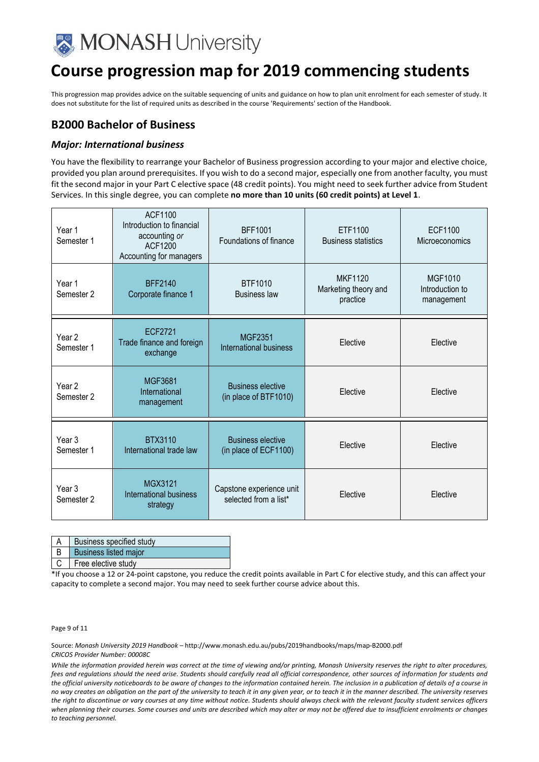

This progression map provides advice on the suitable sequencing of units and guidance on how to plan unit enrolment for each semester of study. It does not substitute for the list of required units as described in the course 'Requirements' section of the Handbook.

## **B2000 Bachelor of Business**

#### *Major: International business*

You have the flexibility to rearrange your Bachelor of Business progression according to your major and elective choice, provided you plan around prerequisites. If you wish to do a second major, especially one from another faculty, you must fit the second major in your Part C elective space (48 credit points). You might need to seek further advice from Student Services. In this single degree, you can complete **no more than 10 units (60 credit points) at Level 1**.

| Year 1<br>Semester 1            | ACF1100<br>Introduction to financial<br>accounting or<br>ACF1200<br>Accounting for managers | <b>BFF1001</b><br>Foundations of finance          | ETF1100<br><b>Business statistics</b>              | ECF1100<br>Microeconomics                       |
|---------------------------------|---------------------------------------------------------------------------------------------|---------------------------------------------------|----------------------------------------------------|-------------------------------------------------|
| Year 1<br>Semester 2            | <b>BFF2140</b><br>Corporate finance 1                                                       | <b>BTF1010</b><br><b>Business law</b>             | <b>MKF1120</b><br>Marketing theory and<br>practice | <b>MGF1010</b><br>Introduction to<br>management |
| Year <sub>2</sub><br>Semester 1 | ECF2721<br>Trade finance and foreign<br>exchange                                            | <b>MGF2351</b><br>International business          | Elective                                           | Elective                                        |
| Year <sub>2</sub><br>Semester 2 | <b>MGF3681</b><br>International<br>management                                               | <b>Business elective</b><br>(in place of BTF1010) | Elective                                           | Elective                                        |
| Year 3<br>Semester 1            | BTX3110<br>International trade law                                                          | <b>Business elective</b><br>(in place of ECF1100) | Elective                                           | Elective                                        |
| Year <sub>3</sub><br>Semester 2 | <b>MGX3121</b><br>International business<br>strategy                                        | Capstone experience unit<br>selected from a list* | Elective                                           | Elective                                        |

| Business specified study     |
|------------------------------|
| <b>Business listed major</b> |

C Free elective study

\*If you choose a 12 or 24-point capstone, you reduce the credit points available in Part C for elective study, and this can affect your capacity to complete a second major. You may need to seek further course advice about this.

Page 9 of 11

Source: *Monash University 2019 Handbook –* http://www.monash.edu.au/pubs/2019handbooks/maps/map-B2000.pdf *CRICOS Provider Number: 00008C*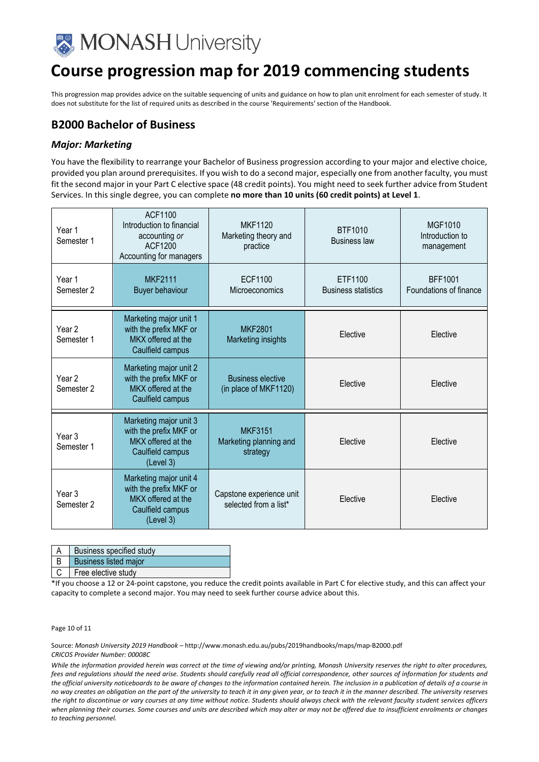

This progression map provides advice on the suitable sequencing of units and guidance on how to plan unit enrolment for each semester of study. It does not substitute for the list of required units as described in the course 'Requirements' section of the Handbook.

## **B2000 Bachelor of Business**

#### *Major: Marketing*

You have the flexibility to rearrange your Bachelor of Business progression according to your major and elective choice, provided you plan around prerequisites. If you wish to do a second major, especially one from another faculty, you must fit the second major in your Part C elective space (48 credit points). You might need to seek further advice from Student Services. In this single degree, you can complete **no more than 10 units (60 credit points) at Level 1**.

| Year 1<br>Semester 1            | ACF1100<br>Introduction to financial<br>accounting or<br>ACF1200<br>Accounting for managers             | <b>MKF1120</b><br>Marketing theory and<br>practice   | BTF1010<br><b>Business law</b>        | <b>MGF1010</b><br>Introduction to<br>management |
|---------------------------------|---------------------------------------------------------------------------------------------------------|------------------------------------------------------|---------------------------------------|-------------------------------------------------|
| Year 1<br>Semester 2            | <b>MKF2111</b><br><b>Buyer behaviour</b>                                                                | <b>ECF1100</b><br>Microeconomics                     | ETF1100<br><b>Business statistics</b> | <b>BFF1001</b><br>Foundations of finance        |
| Year <sub>2</sub><br>Semester 1 | Marketing major unit 1<br>with the prefix MKF or<br>MKX offered at the<br>Caulfield campus              | <b>MKF2801</b><br>Marketing insights                 | Elective                              | Elective                                        |
| Year 2<br>Semester 2            | Marketing major unit 2<br>with the prefix MKF or<br>MKX offered at the<br>Caulfield campus              | <b>Business elective</b><br>(in place of MKF1120)    | Elective                              | Elective                                        |
| Year 3<br>Semester 1            | Marketing major unit 3<br>with the prefix MKF or<br>MKX offered at the<br>Caulfield campus<br>(Level 3) | <b>MKF3151</b><br>Marketing planning and<br>strategy | Elective                              | Elective                                        |
| Year 3<br>Semester 2            | Marketing major unit 4<br>with the prefix MKF or<br>MKX offered at the<br>Caulfield campus<br>(Level 3) | Capstone experience unit<br>selected from a list*    | Elective                              | Elective                                        |

| Business specified study     |
|------------------------------|
| <b>Business listed major</b> |
| Free elective study          |

\*If you choose a 12 or 24-point capstone, you reduce the credit points available in Part C for elective study, and this can affect your capacity to complete a second major. You may need to seek further course advice about this.

Page 10 of 11

Source: *Monash University 2019 Handbook –* http://www.monash.edu.au/pubs/2019handbooks/maps/map-B2000.pdf *CRICOS Provider Number: 00008C*